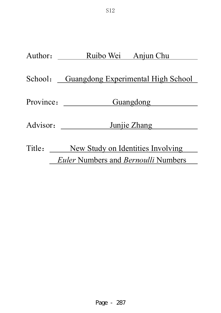| Author:   | Ruibo Wei Anjun Chu                               |
|-----------|---------------------------------------------------|
|           |                                                   |
| School:   | <b>Guangdong Experimental High School</b>         |
|           |                                                   |
| Province: | Guangdong                                         |
| Advisor:  | Junjie Zhang                                      |
|           |                                                   |
| Title:    | New Study on Identities Involving                 |
|           | <i>Euler</i> Numbers and <i>Bernoulli</i> Numbers |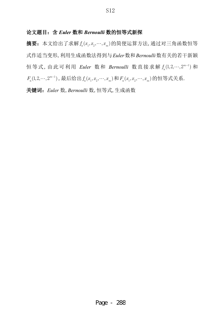## 论文题目: 含 Euler 数和 Bernoulli 数的恒等式新探

摘要: 本文给出了求解 $f_{\scriptscriptstyle n}(x_{\scriptscriptstyle 1}, x_{\scriptscriptstyle 2},\cdots, x_{\scriptscriptstyle m})$ 的简便运算方法, 通过对三角函数恒等 式作适当变形, 利用生成函数法得到与 Euler 数和 Bernoulli 数有关的若干新颖 恒等式,由此可利用 *Euler* 数和 *Bernoulli* 数直接求解  $f_n(1, 2, \dots, 2^{m-1})$ 和  $F_n(1, 2, \cdots, 2^{m-1})$ , 最后给出 $f_n(x_1, x_2, \cdots, x_m)$ 和 $F_n(x_1, x_2, \cdots, x_m)$ 的恒等式关系.

关键词: Euler 数, Bernoulli 数, 恒等式, 生成函数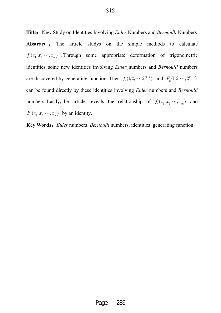**Title:** New Study on Identities Involving *Euler* Numbers and *Bernoulli* Numbers Abstract : The article studys on the simple methods to calculate  $f_n(x_1, x_2, \dots, x_m)$ . Through some appropriate deformation of trigonometric identities, some new identities involving *Euler* numbers and *Bernoulli* numbers are discovered by generating function. Then  $f_n(1, 2, \dots, 2^{m-1})$  and  $F_n(1, 2, \dots, 2^{m-1})$ can be found directly by these identities involving *Euler* numbers and *Bernoulli* numbers. Lastly, the article reveals the relationship of  $f_n(x_1, x_2, \dots, x_m)$  and  $F_n(x_1, x_2, \dots, x_m)$  by an identity.

Key Words: *Euler* numbers, *Bernoulli* numbers, identities, generating function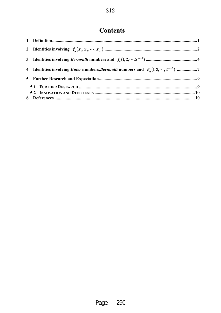# **Contents**

| 4 Identities involving <i>Euler</i> numbers, <i>Bernoulli</i> numbers and $F_n(1,2,\dots,2^{m-1})$ 7 |
|------------------------------------------------------------------------------------------------------|
|                                                                                                      |
|                                                                                                      |
|                                                                                                      |
|                                                                                                      |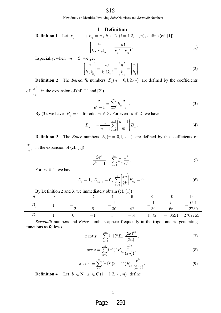#### **1 Definition**

**Definition 1** Let  $k_1 + \cdots + k_m = n$ ,  $k_i \in N$  ( $i = 1, 2, \cdots, n$ ), define (cf. [1])

$$
\binom{n}{k_1, \cdots, k_m} = \frac{n!}{k_1! \cdots k_m!}.
$$
 (1)

Especially, when  $m = 2$  we get

$$
\binom{n}{k_1, k_2} = \frac{n!}{k_1! k_2!} = \binom{n}{k_1} = \binom{n}{k_2}.
$$
\n(2)

**Definition 2** The *Bernoulli* numbers  $B_n(n = 0, 1, 2, \cdots)$  are defined by the coefficients of ! *n x n* in the expansion of (cf.[1] and [2])

$$
\frac{x}{e^x - 1} = \sum_{n=0}^{\infty} B_n \frac{x^n}{n!}.
$$
 (3)

By (3), we have  $B_n = 0$  for odd  $n \ge 3$ . For even  $n \ge 2$ , we have

$$
B_n = -\frac{1}{n+1} \sum_{m=0}^{n-1} {n+1 \choose m} B_m . \tag{4}
$$

**Definition 3** The *Euler* numbers  $E_n(n = 0, 1, 2, \cdots)$  are defined by the coefficients of ! *n x n* in the expansion of (cf.[1])

$$
\frac{2e^x}{e^{2x}+1} = \sum_{n=0}^{\infty} E_n \frac{x^n}{n!}.
$$
 (5)

For  $n \geq 1$ , we have

$$
E_0 = 1, E_{2n-1} = 0, \sum_{k=0}^{n} \binom{2n}{2k} E_{2k} = 0.
$$
 (6)

|                                    | $\rightarrow$ |  |  |    |  |      |                     |         |
|------------------------------------|---------------|--|--|----|--|------|---------------------|---------|
| $\mathbf{r}$<br>$\overline{\iota}$ |               |  |  |    |  |      |                     |         |
|                                    |               |  |  |    |  |      |                     | 69      |
|                                    |               |  |  | ðU |  | 30   | $\sim$ $\sim$<br>bb | 2730    |
| $\eta$                             |               |  |  |    |  | 1385 | $-50521$            | 2702765 |

By Definition 2 and 3, we immediately obtain  $(cf. [1])$ :

*Bernoulli* numbers and *Euler* numbers appear frequently in the trigonometric generating functions as follows

$$
x \cot x = \sum_{n=0}^{\infty} (-1)^n B_{2n} \frac{(2x)^{2n}}{(2n)!},
$$
 (7)

$$
\sec x = \sum_{n=0}^{\infty} (-1)^n E_{2n} \frac{x^{2n}}{(2n)!},
$$
\n(8)

$$
x \csc x = \sum_{n=0}^{\infty} (-1)^n (2 - 4^n) B_{2n} \frac{x^{2n}}{(2n)!}.
$$
 (9)

**Definition 4** Let  $b_i \in \mathbb{N}$ ,  $x_i \in \mathbb{C}$   $(i = 1, 2, \dots, m)$ , define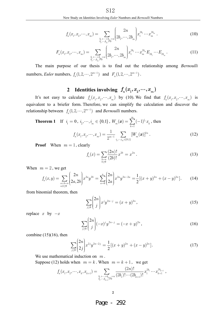$$
f_n(x_1, x_2, \cdots, x_m) = \sum_{\substack{b_1 + \cdots + b_m = n \\ b_1, \cdots, b_m \ge 0}} \left( \frac{2n}{2b_1, \cdots, 2b_m} \right) x_1^{2b_1} \cdots x_m^{2b_m} . \tag{10}
$$

$$
F_n(x_1, x_2, \cdots, x_m) = \sum_{\substack{b_1 + \cdots + b_m = n \\ b_1, \cdots, b_m \ge 0}} \left( \frac{2n}{2b_1, \cdots, 2b_m} \right) x_1^{2b_1} \cdots x_m^{2b_m} E_{2b_1} \cdots E_{2b_m}.
$$
\n(11)

 The main purpose of our thesis is to find out the relationship among *Bernoulli* numbers, *Euler* numbers,  $f_n(1, 2, \dots, 2^{m-1})$  and  $F_n(1, 2, \dots, 2^{m-1})$ .

# **2** Identities involving  $f_n(x_1, x_2, \dots, x_m)$

It's not easy to calculate  $f_n(x_1, x_2, \dots, x_m)$  by (10). We find that  $f_n(x_1, x_2, \dots, x_m)$  is equivalent to a briefer form.Therefore,we can simplify the calculation and discover the relationship between  $f_n(1, 2, \dots, 2^{m-1})$  and *Bernoulli* numbers.

**Theorem 1** If  $i_1 = 0$ ,  $i_2, \dots, i_m \in \{0, 1\}$ ,  $W_m(\boldsymbol{x}) = \sum^m (-1)^{i_k}$  $m(\mathbf{w})$   $\sum_{k=1}$   $\langle \quad 1 \rangle$   $w_k$  $W_{m}(x) = \sum (-1)^{i_k} x^k$  $=\sum\limits_{k=1}\left( -% {\displaystyle\sum\limits_{k=1}^{k-1}}\right) ^{k}$  $f(x) = \sum_{k=1}^{\infty} (-1)^{i_k} x_k$ , then  $, \dots, i_m \in \{0,1\}$  $(x_1, x_2, \dots, x_n) = \frac{1}{\sqrt{1-x_1}}$   $\sum |W_m(\bm{x})|$ *m n*  $f_n(x_{_1}, x_{_2}, \cdots, x_{_m}) = \frac{1}{2^{m-1}} \sum_{i_{_2}, \cdots, i_{_m} \in \{0,1\}} [W_{_m}]$ 2 2  $\alpha_1, \alpha_2, \dots, \alpha_m$   $\prime = \frac{1}{2^{m-1}} \sum_{i_0, \dots, i_m \in \{0,1\}}$ 1  $2^{m-1}$ <sub>i<sub>2</sub>,...</sub>  $\cdots$ ,  $x_{m}$ ) =  $\frac{1}{2m+1}$   $\sum$   $[W_{m}(\boldsymbol{x})]^{2n}$ . (12)

**Proof** When  $m = 1$ , clearly

$$
f_n(x) = \sum_{\substack{b=n \\ b \ge 0}} \frac{(2n)!}{(2b)!} x^{2b} = x^{2n}.
$$
 (13)

When  $m = 2$ , we get

$$
f_n(x,y) = \sum_{\substack{a+b=n\\a,b\geq 0}} \binom{2n}{2a,2b} x^{2a} y^{2b} = \sum_{a=0}^n \binom{2n}{2a} x^{2a} y^{2n-2a} = \frac{1}{2} [(x+y)^{2n} + (x-y)^{2n}].
$$
 (14)

from binomial theorem, then

$$
\sum_{j\geq 0} \binom{2n}{j} x^j y^{2n-j} = (x+y)^{2n},\tag{15}
$$

replace  $x$  by  $-x$ 

$$
\sum_{j\geq 0} \binom{2n}{j} (-x)^j y^{2n-j} = (-x+y)^{2n},\tag{16}
$$

combine  $(15)(16)$ , then

$$
\sum_{j\geq 0} \binom{2n}{2j} x^{2j} y^{2n-2j} = \frac{1}{2} [(x+y)^{2n} + (x-y)^{2n}]. \tag{17}
$$

We use mathematical induction on *m* .

Suppose (12) holds when  $m = k$ . When  $m = k + 1$ , we get

$$
f_n(x_1, x_2, \cdots, x_k, x_{k+1}) = \sum_{\substack{b_1 + \cdots + b_{k+1} = n \\ b_1^1, \cdots, b_{k+1} \geq 0}} \frac{(2n)!}{(2b_1)! \cdots (2b_{k+1})!} x_1^{2b_1} \cdots x_{k+1}^{2b_{k+1}} ,
$$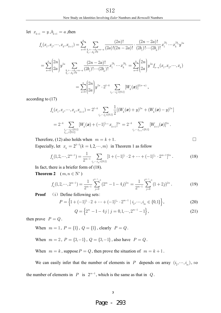let  $x_{k+1} = y, b_{k+1} = a$ , then

$$
f_n(x_1, x_2, \cdots, x_k, x_{k+1}) = \sum_{a=0}^n \sum_{\substack{b_1 + \cdots + b_k = n-a \ b_1, \cdots, b_k \ge 0}} \frac{(2n)!}{(2a)!(2n - 2a)!} \cdot \frac{(2n - 2a)!}{(2b_1)!\cdots(2b_k)!} x_1^{2b_1} \cdots x_k^{2b_k} y^{2a}
$$
  

$$
= \sum_{a=0}^n {2n \choose 2a} y^{2a} \sum_{\substack{b_1 + \cdots + b_k = n-a \ (2b_1)!\cdots(2b_k)!}} \frac{(2n - 2a)!}{(2b_1)!\cdots(2b_k)!} x_1^{2b_1} \cdots x_k^{2b_k} = \sum_{a=0}^n {2n \choose 2a} y^{2a} f_{n-a}(x_1, x_2, \cdots, x_k)
$$
  

$$
= \sum_{a=0}^n {2n \choose 2a} y^{2a} \cdot 2^{1-k} \sum_{i_2, \cdots, i_k \in \{0,1\}} [W_k(\boldsymbol{x})]^{2(n-a)},
$$

according to (17)

$$
\begin{aligned} &f_n(x_1,x_2,\cdots,x_k,x_{k+1})=2^{1-k}\sum_{i_2,\cdots,i_k\in\{0,1\}}\frac{1}{2}[(W_k(\boldsymbol{x})+y)^{2n}+(W_k(\boldsymbol{x})-y)^{2n}] \\ &=2^{-k}\sum_{i_2,\cdots,i_k\in\{0,1\}}[W_k(\boldsymbol{x})+(-1)^{i_{k+1}}x_{k+1}]^{2n}=2^{-k}\sum_{i_2,\cdots,i_{k+1}\in\{0,1\}}[W_{k+1}(\boldsymbol{x})]^{2n}\ . \end{aligned}
$$

Therefore, (12) also holds when  $m = k + 1$ .

Especially, let  $x_k = 2^{k-1} (k = 1, 2, \dots, m)$  in Theorem 1 as follow

$$
f_n(1,2,\cdots,2^{m-1}) = \frac{1}{2^{m-1}} \sum_{i_2,\cdots,i_m \in \{0,1\}} \left[1+(-1)^{i_2} \cdot 2+\cdots+(-1)^{i_m} \cdot 2^{m-1}\right]^{2n}.
$$
 (18)

In fact, there is a briefer form of  $(18)$ .

**Theorem 2**  $(m, n \in N^*)$ 

$$
f_n(1,2,\dots,2^{m-1}) = \frac{1}{2^{m-1}} \sum_{j=0}^{2^{m-1}-1} (2^m - 1 - 4j)^{2n} = \frac{1}{2^{m-1}} \sum_{j=0}^{2^{m-1}-1} (1+2j)^{2n}.
$$
 (19)

**Proof** (i) Define following sets:

$$
P = \left\{1 + (-1)^{i_2} \cdot 2 + \dots + (-1)^{i_m} \cdot 2^{m-1} \mid i_2, \dots, i_m \in \{0, 1\}\right\},\tag{20}
$$

$$
Q = \{2^m - 1 - 4j \mid j = 0, 1, \cdots, 2^{m-1} - 1\},\tag{21}
$$

then prove  $P = Q$ .

When 
$$
m = 1
$$
,  $P = \{1\}$ ,  $Q = \{1\}$ , clearly  $P = Q$ .

When 
$$
m = 2
$$
,  $P = \{3, -1\}$ ,  $Q = \{3, -1\}$ , also have  $P = Q$ .

When  $m = k$ , suppose  $P = Q$ , then prove the situation of  $m = k + 1$ .

We can easily infer that the number of elements in *P* depends on array  $(i_2, \dots, i_m)$ , so the number of elements in *P* is  $2^{m-1}$ , which is the same as that in *Q*.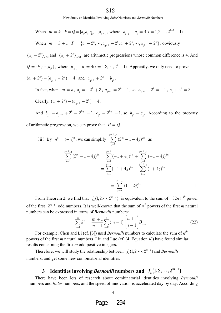When 
$$
m = k
$$
,  $P = Q = \{a_1, a_2, a_3, \dots, a_{2^{k-1}}\}$ , where  $a_{i+1} - a_i = 4(i = 1, 2, \dots, 2^{k-1} - 1)$ .

When  $m = k + 1$ ,  $P = \{a_1 - 2^k, \dots, a_{2^{k-1}} - 2^k, a_1 + 2^k, \dots, a_{2^{k-1}} + 2^k\}$ , obviously

 ${a_n - 2^k}_{n \geq 1}$  and  ${a_n + 2^k}_{n \geq 1}$  are arithmetic progressions whose common difference is 4. And  $Q = \{b_1, \dots, b_{2^k}\}\,$ , where  $b_{i+1} - b_i = 4(i = 1, 2, \dots, 2^k - 1)\,$ . Apprently, we only need to prove  $(a_1 + 2^k) - (a_{2^{k-1}} - 2^k) = 4$  and  $a_{2^{k-1}} + 2^k = b_{2^k}$ .

In fact, when  $m = k$ ,  $a_1 = -2^k + 3$ ,  $a_{2^{k-1}} = 2^k - 1$ , so  $a_{2^{k-1}} - 2^k = -1$ ,  $a_1 + 2^k = 3$ . Clearly,  $(a_1 + 2^k) - (a_{2^{k-1}} - 2^k) = 4$ .

And  $b_{2^k} = a_{2^{k-1}} + 2^k = 2^{k+1} - 1$ ,  $c_{2^k} = 2^{k+1} - 1$ , so  $b_{2^k} = c_{2^k}$ . According to the property

of arithmetic progression, we can prove that  $P = Q$ .

(ii) By 
$$
n^2 = (-n)^2
$$
, we can simplify 
$$
\sum_{j=0}^{2^{m-1}-1} (2^m - 1 - 4j)^{2n}
$$
 as\n
$$
\sum_{j=0}^{2^{m-1}-1} (2^m - 1 - 4j)^{2n} = \sum_{j=1}^{2^{m-2}} (-1 + 4j)^{2n} + \sum_{j=0}^{2^{m-2}-1} (-1 - 4j)^{2n}
$$
\n
$$
= \sum_{j=1}^{2^{m-2}} (-1 + 4j)^{2n} + \sum_{j=0}^{2^{m-2}-1} (1 + 4j)^{2n}
$$
\n
$$
= \sum_{j=0}^{2^{m-1}-1} (1 + 2j)^{2n}.
$$

From Theorem 2, we find that  $f_n(1, 2, \dots, 2^{m-1})$  is equivalent to the sum of  $(2n)^{th}$  power of the first  $2^{m-1}$  odd numbers. It is well-known that the sum of  $n^{th}$  powers of the first *m* natural numbers can be expressed in terms of *Bernoulli* numbers:

$$
\sum_{k=1}^{m} k^{n} = \frac{m+1}{n+1} \sum_{i=0}^{n} (m+1)^{i} {n+1 \choose i+1} B_{n-i}.
$$
 (22)

For example, Chen and Li (cf. [3]) used *Bernoulli* numbers to calculate the sum of  $n^{th}$ powers of the first *m* natural numbers.Liu and Luo (cf.[4,Equation 4]) have found similar results concerning the first *m* odd positive integers.

Therefore, we will study the relationship between  $f_n(1, 2, \dots, 2^{m-1})$  and *Bernoulli* numbers, and get some new combinatorial identities.

# **3** Identities involving *Bernoulli* numbers and  $f_n(1,2,\cdots,2^{m-1})$

There have been lots of research about combinatorial identities involving *Bernoulli* numbers and *Euler* numbers, and the speed of innovation is accelerated day by day. According

**4**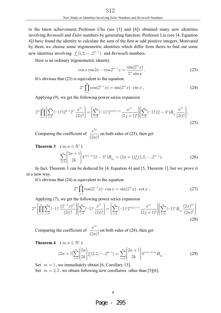to the latest achievement, Professor Chu (see  $[5]$  and  $[6]$ ) obtained many new identities involving *Bernoulli* and *Euler* numbers by generating function. Professor Liu (see [4, Equation 4]) have found the identity to calculate the sum of the first *m* odd positive integers.Motivated by them, we choose some trigonometric identities which differ from theirs to find out some new identities involving  $f_n(1, 2, \dots, 2^{m-1})$  and *Bernoulli* numbers.

Here is an ordinary trigonometric identity.

$$
\cos x \cos 2x \cdots \cos 2^{m-1} x = \frac{\sin(2^m x)}{2^m \sin x}.
$$
 (23)

It's obvious that (23) is equivalent to the equation

$$
2^{m} \prod_{k=1}^{m} \cos(2^{k-1}x) = \sin(2^{m}x) \cdot \csc x,
$$
 (24)

Applying (9), we get the following power series expansion

$$
2^{m} \prod_{k=1}^{m} \left( \sum_{i=0}^{\infty} (-1)^{i} (2^{k-1})^{2i} \frac{x^{2i}}{(2i)!} \right) = \left( \sum_{j=0}^{\infty} (-1)^{j} 2^{m(2j+1)} \frac{x^{2j}}{(2j+1)!} \right) \left( \sum_{i=0}^{\infty} (-1)^{i} (2-4^{i}) B_{2i} \frac{x^{2i}}{(2i)!} \right),\tag{25}
$$

Comparing the coefficient of  $\frac{x}{(2n)!}$  $x^{2n}$ *n* 2  $\frac{x}{(2n)!}$  on both sides of (25), then get

**Theorem 3** 
$$
(m, n \in \mathbb{N}^*)
$$
  

$$
\sum_{k=0}^{n} {2n+1 \choose 2k} 4^{m(n-k)} (2-4^k) B_{2k} = (2n+1) f_n (1, 2, \dots, 2^{m-1}).
$$
 (26)

In fact, Theorem 3 can be deduced by  $[4, Equation 4]$  and  $[5, Theorem 1]$ , but we prove it in a new way.

It's obvious that (24) is equivalent to the equation

$$
2^{m} \prod_{j=1}^{m} \cos(2^{j-1}x) \cdot \cos x = \sin(2^{m}x) \cdot \cot x, \qquad (27)
$$

Applying (7), we get the following power series expansion

$$
2^{m} \left( \prod_{j=1}^{m} \sum_{i=0}^{\infty} (-1)^{i} \frac{(2^{j-1}x)^{2i}}{(2i)!} \right) \left( \sum_{i=0}^{\infty} (-1)^{i} \frac{x^{2i}}{(2i)!} \right) = \left( \sum_{j=0}^{\infty} (-1)^{j} 2^{m(2j+1)} \frac{x^{2j}}{(2j+1)!} \right) \left( \sum_{n=0}^{\infty} (-1)^{n} B_{2n} \frac{(2x)^{2n}}{(2n)!} \right)
$$
\n(28)

Comparing the coefficient of  $\frac{x}{(2n)!}$  $x^{2n}$ *n* 2  $\frac{x}{(2n)!}$  on both sides of (28), then get

**Theorem 4**  $(m, n \in N^*)$ 

$$
(2n+1)\sum_{k=0}^{n} \binom{2n}{2k} f_k(1,2,\cdots,2^{m-1}) = \sum_{k=0}^{n} \binom{2n+1}{2k} 4^{m(n-k)+k} B_{2k}.
$$
 (29)

Set  $m = 1$ , we immediately obtain [6, Corollary 13]. Set  $m = 2, 3$ , we obtain following new corollaries other than [5][6].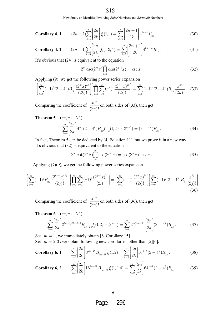Corollary 4. 1 
$$
(2n+1)\sum_{k=0}^{n} \binom{2n}{2k} f_k(1,2) = \sum_{k=0}^{n} \binom{2n+1}{2k} 4^{2n-k} B_{2k}
$$
. (30)

Corollary 4. 2 
$$
(2n+1)\sum_{k=0}^{n} {2n \choose 2k} f_k(1,2,4) = \sum_{k=0}^{n} {2n+1 \choose 2k} 4^{3n-2k} B_{2k}
$$
 (31)

It's obvious that (24) is equivalent to the equation

$$
2^m \csc(2^m x) \prod_{j=1}^m \cos(2^{j-1} x) = \csc x.
$$
 (32)

Applying (9), we get the following power series expansion

$$
\left(\sum_{k=0}^{\infty}(-1)^{k}(2-4^{k})B_{2k}\frac{(2^{m}x)^{2k}}{(2k)!}\right)\left(\prod_{j=1}^{m}\sum_{i=0}^{\infty}(-1)^{i}\frac{(2^{j-1}x)^{2i}}{(2i)!}\right)=\sum_{n=0}^{\infty}(-1)^{n}(2-4^{n})B_{2n}\frac{x^{2n}}{(2n)!}.
$$
 (33)

Comparing the coefficient of  $\frac{x}{(2n)!}$  $x^{2n}$ *n* 2  $\frac{x}{(2n)!}$  on both sides of (33), then get

**Theorem 5** 
$$
(m, n \in \mathbb{N}^*)
$$
  

$$
\sum_{k=0}^{n} {2n \choose 2k} 4^{mk} (2-4^k) B_{2k} f_{n-k} (1, 2, \cdots, 2^{m-1}) = (2-4^n) B_{2n}.
$$
 (34)

In fact, Theorem 5 can be deduced by [4, Equation 11], but we prove it in a new way. It's obvious that (32) is equivalent to the equation

$$
2m \cot(2m x) \prod_{j=1}^{m} \cos(2^{j-1} x) = \cos(2m x) \cdot \csc x.
$$
 (35)

Applying  $(7)(9)$ , we get the following power series expansion

$$
\left(\sum_{j=0}^{\infty}(-1)^jB_{2j}\frac{(2^{m+1}x)^{2j}}{(2j)!}\right)\left(\prod_{j=1}^{m}\sum_{i=0}^{\infty}(-1)^i\frac{(2^{j-1}x)^{2i}}{(2i)!}\right)=\left(\sum_{i=0}^{\infty}(-1)^i\frac{(2^m x)^{2i}}{(2i)!}\right)\left(\sum_{j=0}^{\infty}(-1)^j(2-4^j)B_{2j}\frac{x^{2j}}{(2j)!}\right).
$$
\n(36)

Comparing the coefficient of  $\frac{d}{2n}$ !  $x^{2n}$ *n* 2  $\frac{x}{(2n)!}$  on both sides of (36), then get

**Theorem 6** 
$$
(m, n \in \mathbb{N}^*)
$$
  
\n
$$
\sum_{k=0}^{n} {2n \choose 2k} 2^{(m+1)(2n-2k)} B_{2n-2k} f_k(1, 2, \dots, 2^{m-1}) = \sum_{k=0}^{n} 2^{m(2n-2k)} {2n \choose 2k} (2-4^k) B_{2k}.
$$
\n(37)

Set  $m = 1$ , we immediately obtain [6, Corollary 15].

Set  $m = 2, 3$ , we obtain following new corollaries other than [5][6].

**Corollary 6. 1** 
$$
\sum_{k=0}^{n} \binom{2n}{2k} 8^{2n-2k} B_{2n-2k} f_k(1,2) = \sum_{k=0}^{n} \binom{2n}{2k} 16^{n-k} (2-4^k) B_{2k}.
$$
 (38)

Corollary 6. 2 
$$
\sum_{k=0}^{n} \binom{2n}{2k} 16^{2n-2k} B_{2n-2k} f_k(1,2,4) = \sum_{k=0}^{n} \binom{2n}{2k} 64^{n-k} (2-4^k) B_{2k}.
$$
 (39)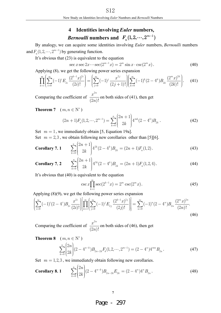## **4 Identities involving** *Euler* **numbers,**

# *Bernoulli* numbers and  $\ F_n(1, 2, \cdots, 2^{m-1})$

By analogy,we can acquire some identities involving *Euler* numbers,*Bernoulli* numbers and  $F_n(1, 2, \dots, 2^{m-1})$  by generating function.

It's obvious that (23) is equivalent to the equation

$$
\sec x \sec 2x \cdots \sec(2^{m-1}x) = 2^m \sin x \cdot \csc(2^m x). \tag{40}
$$

Applying (8), we get the following power series expansion

$$
\prod_{k=1}^{m} \left( \sum_{i=0}^{\infty} (-1)^{i} E_{2i} \frac{(2^{k-1} x)^{2i}}{(2i)!} \right) = \left( \sum_{j=0}^{\infty} (-1)^{j} \frac{x^{2j}}{(2j+1)!} \right) \left( \sum_{k=0}^{\infty} (-1)^{k} (2-4^{k}) B_{2k} \frac{(2^{m} x)^{2k}}{(2k)!} \right). \tag{41}
$$

Comparing the coefficient of  $\frac{x}{(2n)!}$  $x^{2n}$ *n* 2  $\frac{x}{(2n)!}$  on both sides of (41), then get

**Theorem 7**  $(m, n \in N^*)$ 

$$
(2n+1)F_n(1,2,\cdots,2^{m-1}) = \sum_{k=0}^n \binom{2n+1}{2k} 4^{mk} (2-4^k) B_{2k}.
$$
 (42)

Set  $m = 1$ , we immediately obtain [5, Equation 19a].

Set  $m = 2, 3$ , we obtain following new corollaries other than [5][6].

**Corollary 7. 1** 
$$
\sum_{k=0}^{n} {2n+1 \choose 2k} 4^{2k} (2-4^k) B_{2k} = (2n+1) F_n(1,2).
$$
 (43)

**Corollary 7. 2** 
$$
\sum_{k=0}^{n} \binom{2n+1}{2k} 4^{3k} (2-4^k) B_{2k} = (2n+1) F_n(1,2,4).
$$
 (44)

It's obvious that (40) is equivalent to the equation

$$
\csc x \prod_{k=1}^{m} \sec(2^{k-1}x) = 2^{m} \csc(2^{m}x). \tag{45}
$$

Applying  $(8)(9)$ , we get the following power series expansion

$$
\left(\sum_{i=0}^{\infty}(-1)^{i}(2-4^{i})B_{2i}\frac{x^{2i}}{(2i)!}\right)\left[\prod_{k=1}^{m}\left(\sum_{j=0}^{\infty}(-1)^{j}E_{2j}\frac{(2^{k-1}x)^{2j}}{(2j)!}\right)\right]=\sum_{n=0}^{\infty}(-1)^{n}(2-4^{n})B_{2n}\frac{(2^{m}x)^{2n}}{(2n)!}.
$$
\n(46)

Comparing the coefficient of  $\frac{d}{(2n)!}$  $x^{2n}$ *n* 2  $\frac{x}{(2n)!}$  on both sides of (46), then get

**Theorem 8** 
$$
(m, n \in \mathbb{N}^*)
$$
  

$$
\sum_{k=0}^n {2n \choose 2k} (2-4^{n-k}) B_{2n-2k} F_k(1, 2, \cdots, 2^{m-1}) = (2-4^n) 4^{mn} B_{2n}.
$$
 (47)

Set  $m = 1, 2, 3$ , we immediately obtain following new corollaries.

**Corollary 8. 1** 
$$
\sum_{k=0}^{n} \binom{2n}{2k} (2-4^{n-k}) B_{2n-2k} E_{2k} = (2-4^{n}) 4^{n} B_{2n}.
$$
 (48)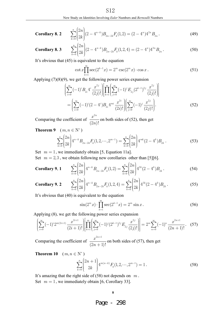## **Corollary 8.2** ( ) (, ) ( )

$$
\sum_{k=0}^{n} \binom{2n}{2k} (2 - 4^{n-k}) B_{2n-2k} F_k(1,2) = (2 - 4^n) 4^{2n} B_{2n} \,. \tag{49}
$$

Corollary 8. 3 
$$
\sum_{k=0}^{n} {2n \choose 2k} (2-4^{n-k}) B_{2n-2k} F_k(1,2,4) = (2-4^n) 4^{3n} B_{2n}.
$$
 (50)

It's obvious that (45) is equivalent to the equation

$$
\cot x \prod_{k=1}^{m} \sec(2^{k-1}x) = 2^{m} \csc(2^{m}x) \cdot \cos x.
$$
 (51)

Applying  $(7)(8)(9)$ , we get the following power series expansion

$$
\left(\sum_{i=0}^{\infty}(-1)^{i}B_{2i}4^{i}\frac{x^{2j}}{(2j)!}\right)\left[\prod_{k=1}^{m}\left(\sum_{j=0}^{\infty}(-1)^{j}E_{2j}(2^{k-1})^{2j}\frac{x^{2j}}{(2j)!}\right)\right]
$$
\n
$$
=\left(\sum_{i=0}^{\infty}(-1)^{i}(2-4^{i})B_{2i}4^{mi}\frac{x^{2i}}{(2i)!}\right)\left(\sum_{j=0}^{\infty}(-1)^{j}\frac{x^{2j}}{(2j)!}\right).
$$
\n(52)

Comparing the coefficient of  $\frac{x}{(2n)!}$  $x^{2n}$ *n* 2  $\frac{x}{(2n)!}$  on both sides of (52), then get

**Theorem 9** 
$$
(m, n \in \mathbb{N}^*)
$$

$$
\sum_{k=0}^{n} \binom{2n}{2k} 4^{n-k} B_{2n-2k} F_k(1,2,\cdots,2^{m-1}) = \sum_{k=0}^{n} \binom{2n}{2k} 4^{mk} (2-4^k) B_{2k}.
$$
\n(53)

Set  $m = 1$ , we immediately obtain [5, Equation 11a]. Set  $m = 2, 3$ , we obtain following new corollaries other than [5][6].

Corollary 9. 1 
$$
\sum_{k=0}^{n} \binom{2n}{2k} 4^{n-k} B_{2n-2k} F_k(1,2) = \sum_{k=0}^{n} \binom{2n}{2k} 4^{2k} (2-4^k) B_{2k}.
$$
 (54)

Corollary 9. 2 
$$
\sum_{k=0}^{n} \binom{2n}{2k} 4^{n-k} B_{2n-2k} F_k(1,2,4) = \sum_{k=0}^{n} \binom{2n}{2k} 4^{3k} (2-4^k) B_{2k}.
$$
 (55)

It's obvious that (40) is equivalent to the equation

$$
\sin(2^m x) \cdot \prod_{k=1}^m \sec(2^{k-1} x) = 2^m \sin x. \tag{56}
$$

Applying (8), we get the following power series expansion

$$
\left[\sum_{i=0}^{\infty}(-1)^{i}2^{m(2i+1)}\frac{x^{2i+1}}{(2i+1)!}\right]\left[\prod_{k=1}^{m}\left(\sum_{j=0}^{\infty}(-1)^{j}(2^{k-1})^{2j}E_{2j}\frac{x^{2j}}{(2j)!}\right]\right]=2^{m}\sum_{n=0}^{\infty}(-1)^{n}\frac{x^{2n+1}}{(2n+1)!}.
$$
 (57)

Comparing the coefficient of  $2n + 1$  $(2n + 1)!$  $x^{2n}$ *n*  $\frac{(-1)^{n+1}}{(-1)!}$  on both sides of (57), then get

**Theorem 10**  $(m, n \in \mathbb{N}^*)$ 

$$
\sum_{k=0}^{n} \binom{2n+1}{2k} 4^{m(n-k)} F_k(1, 2, \cdots, 2^{m-1}) = 1.
$$
 (58)

 It's amazing that the right side of (58) not depends on *m* . Set  $m = 1$ , we immediately obtain [6, Corollary 33].

#### **8**

Page - 298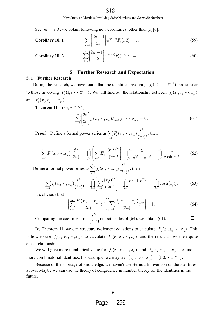Set  $m = 2, 3$ , we obtain following new corollaries other than [5][6].

**Corollary 10. 1** 
$$
\sum_{k=0}^{n} {2n+1 \choose 2k} 4^{2(n-k)} F_k(1,2) = 1.
$$
 (59)

$$
\sum_{k=0}^{n} \binom{2n+1}{2k} 4^{3(n-k)} F_k(1,2,4) = 1.
$$
\n(60)

#### **5 Further Research and Expectation**

#### **5.1 Further Research**

 $Corollary 10.2$ 

During the research, we have found that the identities involving  $f_n(1, 2, \dots, 2^{m-1})$  are similar to those involving  $F_n(1, 2, \dots, 2^{m-1})$ . We will find out the relationship between  $f_n(x_1, x_2, \dots, x_m)$ and  $F_n(x_1, x_2, \dots, x_m)$ .

**Theorem 11**  $(m, n \in \mathbb{N}^*)$ 

$$
\sum_{k=0}^{n} \binom{2n}{2k} f_k(x_1, \dots, x_m) F_{n-k}(x_1, \dots, x_m) = 0.
$$
\n(61)

**Proof** Define a formal power series as  $\sum_{n=0} F_n(x_1, \dots, x_m) \frac{c}{(2n)!}$ *n*  $\sum_{n=0}$   $\binom{n}{n}$  ,  $\binom{n}{n}$  $F_{n}(x_{1},...,x_{m})\frac{t}{\sqrt{n}}$ *n* ∞  $\sum_{n=0}^{\infty} F_n(x_1, \dots, x_m) \frac{t^2}{(2n+1)}$  $\sum_{n} F_n(x_1, \dots, x_m) \frac{t}{(2n)!}$ , then

$$
\sum_{n=0}^{\infty} F_n(x_1, \dots, x_m) \frac{t^{2n}}{(2n)!} = \prod_{j=1}^m \left( \sum_{n=0}^{\infty} E_{2n} \frac{(x_j t)^{2n}}{(2n)!} \right) = \prod_{j=1}^m \frac{2}{e^{x_j t} + e^{-x_j t}} = \prod_{j=1}^m \frac{1}{\cosh(x_j t)}.
$$
 (62)

Define a formal power series as  $\sum_{n=0} f_n(x_1, \dots, x_n)\frac{c}{(2n)!}$ *n*  $\sum_{n=0} J_n(\omega_1, \cdots, \omega_m)$  $f_n(x_1,\dots,x_m) \frac{t}{\sqrt{n}}$ *n* ∞  $\sum_{n=0}^{\infty} f_n(x_1, \dots, x_m) \frac{t^2}{(2n+1)}$  $\sum_{n=0}^{n} f_n(x_1, \dots, x_m) \frac{c}{(2n)!}$ , then

$$
\sum_{n=0}^{\infty} f_n(x_1, \dots, x_m) \frac{t^{2n}}{(2n)!} = \prod_{j=1}^m \left( \sum_{n=0}^{\infty} \frac{(x_j t)^{2n}}{(2n)!} \right) = \prod_{j=1}^m \frac{e^{x_j t} + e^{-x_j t}}{2} = \prod_{j=1}^m \cosh(x_j t).
$$
 (63)

It's obvious that

$$
\left(\sum_{n=0}^{\infty} \frac{F_n(x_1, \dots, x_m)}{(2n)!} t^{2n} \right) \left(\sum_{n=0}^{\infty} \frac{f_n(x_1, \dots, x_m)}{(2n)!} t^{2n} \right) = 1.
$$
\n(64)

 Comparing the coefficient of 2  $(2n)!$  $t^{2n}$  $\frac{1}{n}$  on both sides of (64), we obtain (61).

By Theorem 11, we can structure n-element equations to calculate  $F_n(x_1, x_2, \dots, x_m)$ . This is how to use  $f_n(x_1, x_2, \dots, x_m)$  to calculate  $F_n(x_1, x_2, \dots, x_m)$  and the result shows their quite close relationship.

We will give more numberical value for  $f_n(x_1, x_2, \dots, x_m)$  and  $F_n(x_1, x_2, \dots, x_m)$  to find more combinatorial identities. For example, we may try  $(x_1, x_2, \dots, x_m) = (1, 3, \dots, 3^{m-1})$ .

Because of the shortage of knowledge, we haven't use Bernoulli inversion on the identities above.Maybe we can use the theory of congruence in number theory for the identities in the future.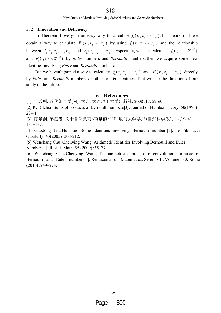#### **5.2 Innovation and Deficiency**

In Theorem 1, we gain an easy way to calculate  $f_n(x_1, x_2, \dots, x_m)$ . In Theorem 11, we obtain a way to calculate  $F_n(x_1, x_2, \dots, x_m)$  by using  $f_n(x_1, x_2, \dots, x_m)$  and the relationship between  $f_n(x_1, x_2, \dots, x_m)$  and  $F_n(x_1, x_2, \dots, x_m)$ . Especially, we can calculate  $f_n(1, 2, \dots, 2^{m-1})$ and  $F_n(1, 2, \dots, 2^{m-1})$  by *Euler* numbers and *Bernoulli* numbers, then we acquire some new identities involving *Euler* and *Bernoulli* numbers.

But we haven't gained a way to calculate  $f_n(x_1, x_2, \dots, x_m)$  and  $F_n(x_1, x_2, \dots, x_m)$  directly by *Euler* and *Bernoulli* numbers or other briefer identities.That will be the direction of our study in the future.

### **6 References**

[1] 王天明. 近代组合学[M]. 大连:大连理工大学出版社, 2008:17, 59-60.

[2] K. Dilcher. Sums of products of Bernoulli numbers[J]. Journal of Number Theory, 60(1996): 23-41.

[3] 陈景润,黎鉴愚. 关于自然数前n项幂的和[J]. 厦门大学学报(自然科学版), 23(1984) : 134-137.

[4] Guodong Liu, Hui Luo. Some identities involving Bernoulli numbers [J]. the Fibonacci Quarterly,43(2005):208-212.

[5] Wenchang Chu,Chenying Wang.Arithmetic Identities Involving Bernoulli and Euler Numbers[J].Result.Math.55 (2009):65–77.

[6] Wenchang Chu,Chenying Wang.Trigonometric approach to convolution formulae of Bernoulli and Euler numbers[J]. Rendiconti di Matematica, Serie VII, Volume 30, Roma (2010):249–274.